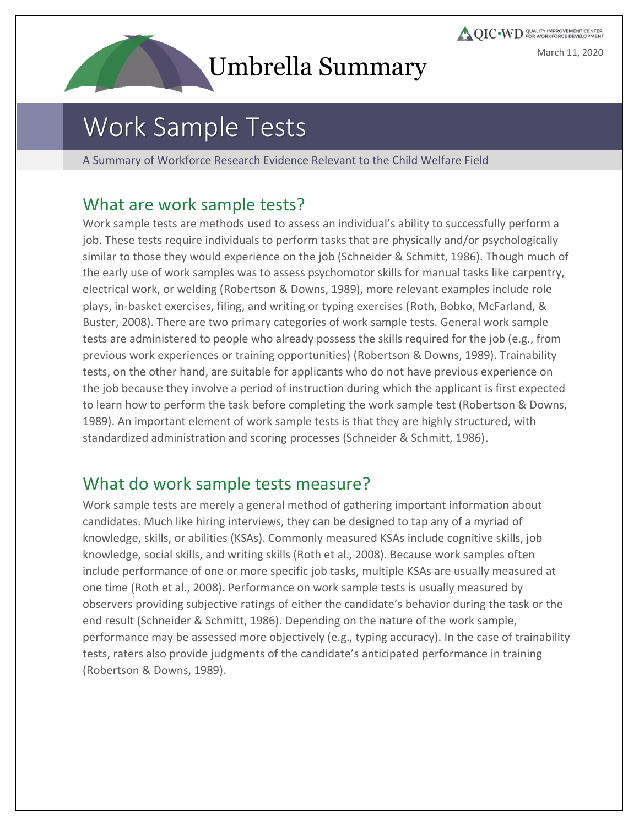

**QIC** WD COALITY IMPROVEMENT CENTER March 11, 2020

# Work Sample Tests

A Summary of Workforce Research Evidence Relevant to the Child Welfare Field

#### What are work sample tests?

Work sample tests are methods used to assess an individual's ability to successfully perform a job. These tests require individuals to perform tasks that are physically and/or psychologically similar to those they would experience on the job (Schneider & Schmitt, 1986). Though much of the early use of work samples was to assess psychomotor skills for manual tasks like carpentry, electrical work, or welding (Robertson & Downs, 1989), more relevant examples include role plays, in-basket exercises, filing, and writing or typing exercises (Roth, Bobko, McFarland, & Buster, 2008). There are two primary categories of work sample tests. General work sample tests are administered to people who already possess the skills required for the job (e.g., from previous work experiences or training opportunities) (Robertson & Downs, 1989). Trainability tests, on the other hand, are suitable for applicants who do not have previous experience on the job because they involve a period of instruction during which the applicant is first expected to learn how to perform the task before completing the work sample test (Robertson & Downs, 1989). An important element of work sample tests is that they are highly structured, with standardized administration and scoring processes (Schneider & Schmitt, 1986).

#### What do work sample tests measure?

Work sample tests are merely a general method of gathering important information about candidates. Much like hiring interviews, they can be designed to tap any of a myriad of knowledge, skills, or abilities (KSAs). Commonly measured KSAs include cognitive skills, job knowledge, social skills, and writing skills (Roth et al., 2008). Because work samples often include performance of one or more specific job tasks, multiple KSAs are usually measured at one time (Roth et al., 2008). Performance on work sample tests is usually measured by observers providing subjective ratings of either the candidate's behavior during the task or the end result (Schneider & Schmitt, 1986). Depending on the nature of the work sample, performance may be assessed more objectively (e.g., typing accuracy). In the case of trainability tests, raters also provide judgments of the candidate's anticipated performance in training (Robertson & Downs, 1989).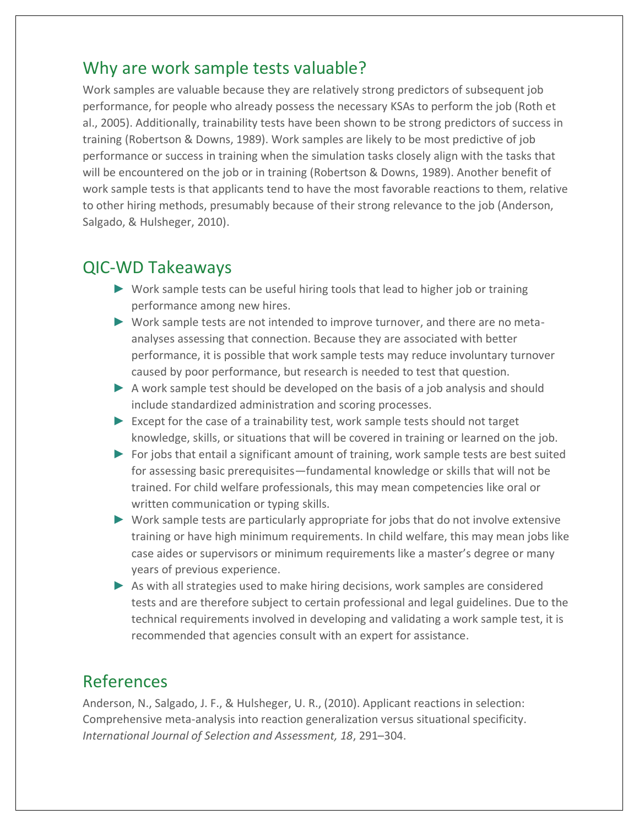#### Why are work sample tests valuable?

Work samples are valuable because they are relatively strong predictors of subsequent job performance, for people who already possess the necessary KSAs to perform the job (Roth et al., 2005). Additionally, trainability tests have been shown to be strong predictors of success in training (Robertson & Downs, 1989). Work samples are likely to be most predictive of job performance or success in training when the simulation tasks closely align with the tasks that will be encountered on the job or in training (Robertson & Downs, 1989). Another benefit of work sample tests is that applicants tend to have the most favorable reactions to them, relative to other hiring methods, presumably because of their strong relevance to the job (Anderson, Salgado, & Hulsheger, 2010).

#### QIC-WD Takeaways

- ► Work sample tests can be useful hiring tools that lead to higher job or training performance among new hires.
- ► Work sample tests are not intended to improve turnover, and there are no metaanalyses assessing that connection. Because they are associated with better performance, it is possible that work sample tests may reduce involuntary turnover caused by poor performance, but research is needed to test that question.
- $\triangleright$  A work sample test should be developed on the basis of a job analysis and should include standardized administration and scoring processes.
- ► Except for the case of a trainability test, work sample tests should not target knowledge, skills, or situations that will be covered in training or learned on the job.
- ► For jobs that entail a significant amount of training, work sample tests are best suited for assessing basic prerequisites—fundamental knowledge or skills that will not be trained. For child welfare professionals, this may mean competencies like oral or written communication or typing skills.
- ► Work sample tests are particularly appropriate for jobs that do not involve extensive training or have high minimum requirements. In child welfare, this may mean jobs like case aides or supervisors or minimum requirements like a master's degree or many years of previous experience.
- ► As with all strategies used to make hiring decisions, work samples are considered tests and are therefore subject to certain professional and legal guidelines. Due to the technical requirements involved in developing and validating a work sample test, it is recommended that agencies consult with an expert for assistance.

#### References

Anderson, N., Salgado, J. F., & Hulsheger, U. R., (2010). Applicant reactions in selection: Comprehensive meta-analysis into reaction generalization versus situational specificity. *International Journal of Selection and Assessment, 18*, 291–304.